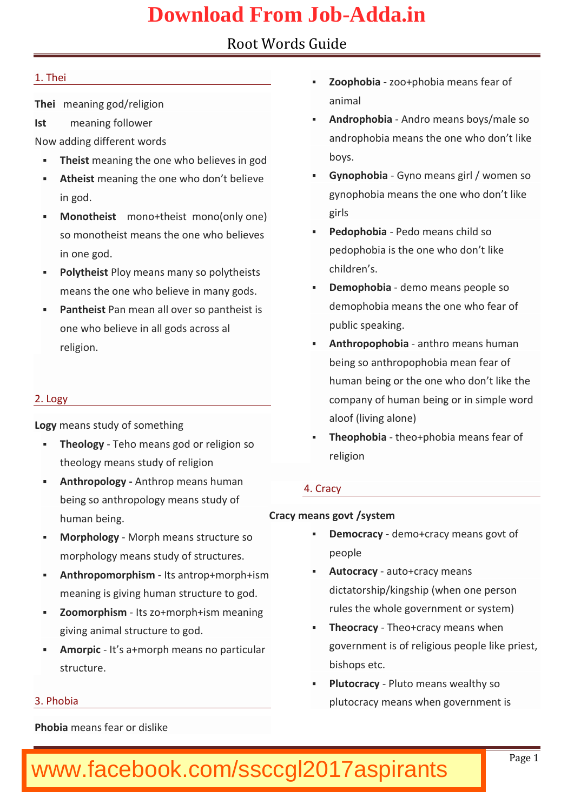| 1. Thei                                                             | ð§ Zoopho-bzicao+phobia means fea |
|---------------------------------------------------------------------|-----------------------------------|
| Themeaning god/religion                                             | animal                            |
| Ist meaning follower                                                | ð§ AndrophoAbnialro means boys/ma |
| Now adding different words                                          | androphobia means the one w       |
| ð§ Theims baning the one who belie                                  | boys.                             |
| ð§ Athems∉aning the one who don <sup>ð§</sup>                       | Gynophe Giyano means girl / wo    |
| in god.                                                             | gynophobia means the one wh       |
| ð§ Monothemsotno+thmeicsnto(only one                                | girls                             |
| so monotheist meavings the eli <b>ence</b> s <sup>os</sup>          | Pedopho Peado means child so      |
| in one god.                                                         | pedophobia is the one who do      |
| ð§ Polyth Plsty means many so pol                                   | children s.                       |
| means the one who believe in $0\$                                   | Denophobdamo means people s       |
| ð§ Panthæiasnt mean all over so pa                                  | demophobia means the one wh       |
| one who believe in all gods ac                                      | public speaking.                  |
| religion.                                                           | ð§ Anthropophænbtiharo means huma |
|                                                                     | being so anthropophobia meal      |
|                                                                     | human being or the one who c      |
| 2. Logy                                                             | company of human being or in      |
| Lognyeans study of something                                        | aloof (laivoimge)                 |
| ð§ Theolo <b>Tjø</b> hoe <b>a</b> nns god or religior <sup>ô§</sup> | Theophothiao+phobia means fe      |
| theology means study of roller                                      | religion                          |
| ð§ Anthropo-lAongtyhrop means huma 4. Cracy                         |                                   |
| being so anthropology means study of                                |                                   |
| human being.                                                        | Cracy means govt /system          |
| ð§ Morphol-oMgoyrph means structur $\epsilon^{\delta \S}$           | Democradoeymo+cracy means go      |
| morphology means study of str                                       | people                            |
| ð§ Anthropomor-plthsisamntrop+mmorph+ <sup>ð§</sup>                 | Autocranacyto+cracy means         |
| meaning is giving human struc                                       | dictatorship/kingship (when o     |
| ð§ Zoomorphlitssmzo+morph+ism me                                    | rules the whole government o      |
| giving animal structure to god <sup>8§</sup>                        | Theocr-adyeo+cracy means whe      |
| ð§ Amorpits a+morph means no p                                      | government is of religious pe     |
| structure.                                                          | bishops etc.                      |
|                                                                     | ð§ Plutocr&Pdyto means wealthy s  |
| 3. Phobia                                                           | plutocracy means when gover       |
| Phobmæans fear or dislike                                           |                                   |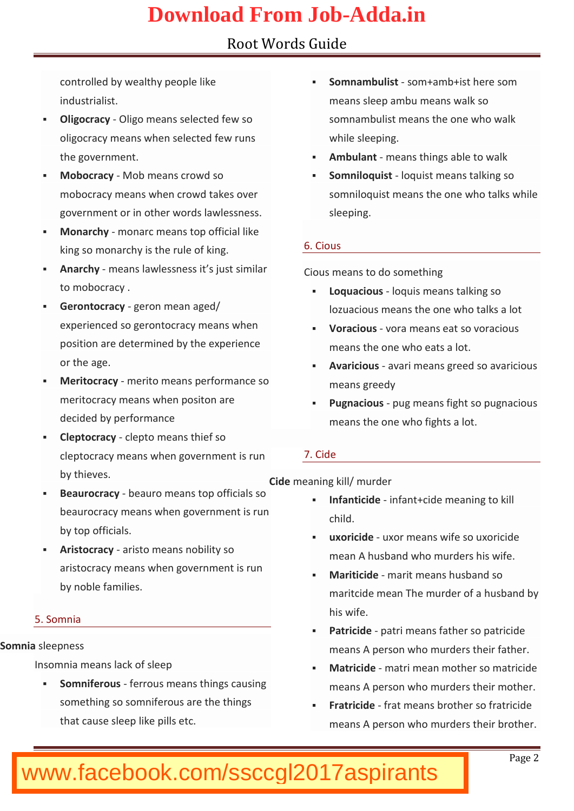|  | industrialist.                                                                                                                                                                                                                                                                                                                                                                                    |                                                                                 | controlled by wealthy people lð§ Somnamb-uslomst+amb+ist here s<br>means sleep ambu means wall                                                                                                                                                                         |
|--|---------------------------------------------------------------------------------------------------------------------------------------------------------------------------------------------------------------------------------------------------------------------------------------------------------------------------------------------------------------------------------------------------|---------------------------------------------------------------------------------|------------------------------------------------------------------------------------------------------------------------------------------------------------------------------------------------------------------------------------------------------------------------|
|  | ð§ Oligocr <b>@di</b> ygo means selected f<br>oligocraecaynsm when selected few<br>the government.                                                                                                                                                                                                                                                                                                |                                                                                 | somnambulist means the one<br>while sleeping.<br>ð§ Ambulameans things able to w                                                                                                                                                                                       |
|  | ð§ MobocraMcgb means crowd so<br>mobocracy means when crowd<br>government or in other words<br>ð§ Monarehnyonarc means top offi<br>king so monarchy is the rule 6. Cious<br>ð§ Anarc-hmyeans bæswnleess it sjust<br>to mobocracy.<br>ð§ Geronto cgæoryon mean aged/<br>experienced so gerontocracy n <sub>os</sub> voracionosa means eat so vora<br>position are determined by the<br>or the age. | ð§ Somniloqlwiqstist means talking<br>somniloquist means the one w<br>sleeping. |                                                                                                                                                                                                                                                                        |
|  |                                                                                                                                                                                                                                                                                                                                                                                                   |                                                                                 |                                                                                                                                                                                                                                                                        |
|  |                                                                                                                                                                                                                                                                                                                                                                                                   |                                                                                 | Cious means to do something<br>ð§ Loqaucio-ulsoquis means talking s<br>lozuacious means the one who<br>means the one who eats a lot                                                                                                                                    |
|  |                                                                                                                                                                                                                                                                                                                                                                                                   |                                                                                 |                                                                                                                                                                                                                                                                        |
|  | ð§ Meritocranoeyrito means performa<br>meritocracy means when positios<br>decided boyrmance<br>ð§ Cleptoc-roaloeypto means thie                                                                                                                                                                                                                                                                   |                                                                                 | ð§ Avariciawari means greed so<br>means greedy<br>Pugnacipus means fight so pu<br>means thee woho fights a lot.                                                                                                                                                        |
|  | cleptocracy means when gove 7. Cide                                                                                                                                                                                                                                                                                                                                                               |                                                                                 |                                                                                                                                                                                                                                                                        |
|  | by thieves.<br>beaurocracy means when gove<br>by top officials.                                                                                                                                                                                                                                                                                                                                   |                                                                                 | Cidmeeaning kill/ murder<br>ð§ Beauroc-nbaecayuro means top offi <sub>ð§</sub> Infantieiindfeant+cide meaning to<br>child.<br>ð§ uxoric-iudxeor means wife so uxo<br>mean A husband who murders<br>Mariticindarit means husband s<br>maritcide mean Thehumsubradned by |
|  | ð§ Aristocrænciysto means nobility s<br>aristo cmaecayns when government $\frac{1}{\delta S}$<br>by noble families.                                                                                                                                                                                                                                                                               |                                                                                 |                                                                                                                                                                                                                                                                        |
|  | 5. Somnia                                                                                                                                                                                                                                                                                                                                                                                         |                                                                                 | his wife.<br>ð§ Patric-ipdætri means father so p                                                                                                                                                                                                                       |
|  | Somnsibeepness                                                                                                                                                                                                                                                                                                                                                                                    |                                                                                 | means A person who murders                                                                                                                                                                                                                                             |
|  | Insomnia means lack of sleep                                                                                                                                                                                                                                                                                                                                                                      |                                                                                 | ð§ Matricinheatri mean mother so í                                                                                                                                                                                                                                     |
|  | ð§ Somniferfæusous means things                                                                                                                                                                                                                                                                                                                                                                   |                                                                                 | means A person who murders                                                                                                                                                                                                                                             |
|  | something so somniferous are <sub>ð S</sub><br>that cause sleep like pills etc                                                                                                                                                                                                                                                                                                                    |                                                                                 | Fratricfdæt means brother so f<br>means A persnaurdwehre their bro                                                                                                                                                                                                     |
|  |                                                                                                                                                                                                                                                                                                                                                                                                   |                                                                                 |                                                                                                                                                                                                                                                                        |

#### www.bankeramstoday.com Page 2014 and the second state of the second state of the second state of the second state  $\mathsf P$  age 20 www.facebook.com/ssccgl2017aspirants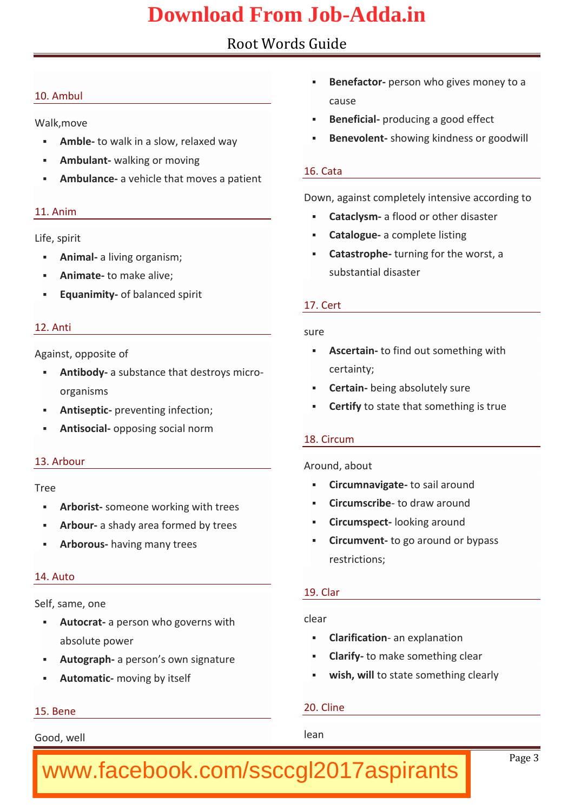| 10. Ambul                                                                | ð§ Benefa-optoenrson who gives mone                                               |
|--------------------------------------------------------------------------|-----------------------------------------------------------------------------------|
|                                                                          | cause                                                                             |
| Walk, move                                                               | ð§ Benefipiraolducing a good effec                                                |
|                                                                          | ð§ Amb-lteo walk in a slow, relaxed <sup>ð§</sup> Benevo-lsehndwing kindness or g |
| ð§ Ambulawnallking or moving                                             | 16. Cata                                                                          |
| ð§ Ambulamac ee hicle that moves a parrent                               |                                                                                   |
| 11. Anim                                                                 | Down, against completely intens                                                   |
|                                                                          | ð§ Catacl-yas friood or other disast<br>ð§ Catalogueomplete listing               |
| Life, spirit                                                             | ð§ Catastrotpulneing for the worst,                                               |
| ð§ Animalliving organism;                                                | substantial disaster                                                              |
| ð§ Animatte make alive;<br>ð§ Equanimoiftybalasperdt                     |                                                                                   |
|                                                                          | 17Cert                                                                            |
| 12. Anti                                                                 | sure                                                                              |
| Against, opposite of                                                     | ð§ Ascertadnfind out something w                                                  |
| δ§ Antibeady substance that destroy                                      | certainty;                                                                        |
| organisms                                                                | ð§ Certabeing absolutely sure                                                     |
| ð§ Antise-potriecventing infection;                                      | ð§ Certtby state that something is                                                |
| ð§ Antiso-coipaplosing social norm                                       |                                                                                   |
|                                                                          | 18. Circum                                                                        |
| 13. Arbour                                                               | Around, about                                                                     |
| Tree                                                                     | ð§ Circumnavtiog astaeil around                                                   |
| ð§ Arborissotmeone working with treð§ Circums-otbibderaw around          |                                                                                   |
| ð§ Arbo-uarshady area formed by ti <sup>ð§</sup> Circums þænæking around |                                                                                   |
| ð§ Arborohuasving many trees                                             | ð§ Circum vtoengo around or bypas                                                 |
|                                                                          | restrictions;                                                                     |
| 14. Auto                                                                 | 19. Clar                                                                          |
| Self, same, one                                                          |                                                                                   |
| ð§ Autoc-maperson who governs wclear                                     |                                                                                   |
| absolute power                                                           | ð§ Clarific-aatrioenxplanation                                                    |
|                                                                          | ð§ Autogræpþerson s own signatuð§ Clar-itfoy make something clear                 |
| ð§ Automamiocving by itself                                              | ð§ wish, twoilstate something clea                                                |
| 15. Bene                                                                 | 20. Cline                                                                         |
| Good, well                                                               | lean                                                                              |
|                                                                          | Page                                                                              |
| www.facebook.com/ssccgl2017aspirants                                     |                                                                                   |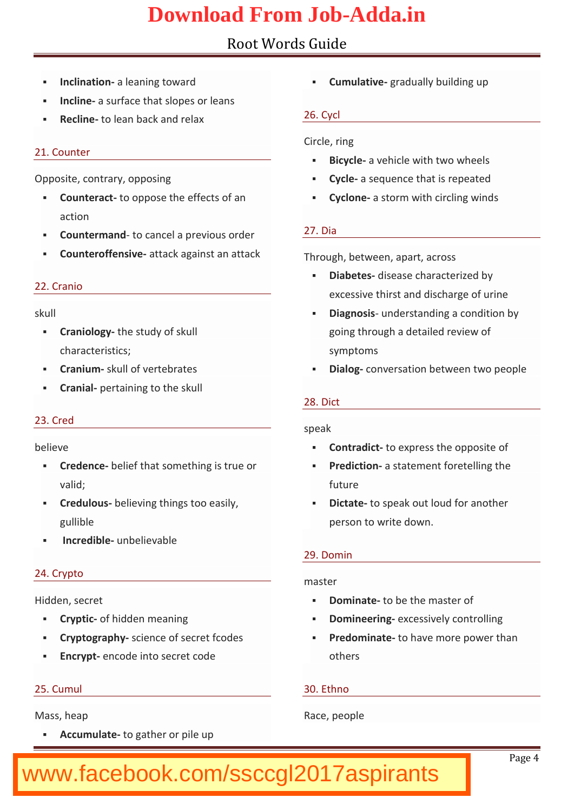#### Root Words Guide ð§ Inclinataid neaning toward ð§ Inclimesurface that slopes or ð§ Recline lebaanck and relax 21. Counter Opposite, contrary, opposing ð§ Counte-ntancoppose the effects oð§ Cycloanestorm with circling win action ð§ Countermtæn**d**ancel a previous <mark>27. Dia</mark> to to cancel and a previous 27. Dia to to to to to to to to to to to to ð§ Counteroff-æntsavek against an í $\tau$ hrough, between, apart, across 22. Cranio skull ð§ Cranio-Itchgey study of skull characteristics; ð§ Crani-usmkull of vertebrates ð§ Cran-ipad rtaining to the skull 23. Cred believe ð§ Crede-nbœdief that something is ð§ Predic-taiosntatement foretelling valid; ð§ Credul**bes**ieving things too easð§ Dicta**tœ** speak out loud for ano gullible ð§ Incred-iubribelievable 24. Crypto Hidden, secret ð§ Cryptoit: hid cheemaning ð§ Cryptogr**ap**heynce of secret fcodð§ Predomintatbave more power t ð§ Encry epricode into secret code 25. Cumul Mass, heap ð§ Cumulatgivædually building up 26. Cycl Circle, ring ð§ Bicycal eve hicle with two wheel ð§ Cyclæsequenceret **bea** tiesd ð§ Diabeteissease characterized b excessive thirst and discharg ð§ Diagnousni**s** erstanding a condit going through a detailed revie symptoms ð§ Dial- $c$ g nversation between two 28. Dict speak ð§ Contradioc express the opposit future person to write down. 29. Domin master ð§ Dominate be the master of ð§ Domineeeixnogessively controlling others 30. Ethno

ð§ Accumu-Itaotegather or pile up

Race, people

#### www.bankexamstoday.com Page 4 and the second state of the second state of the second state  $\mathsf P$  and  $\mathsf P$  and  $\mathsf P$ www.facebook.com/ssccgl2017aspirants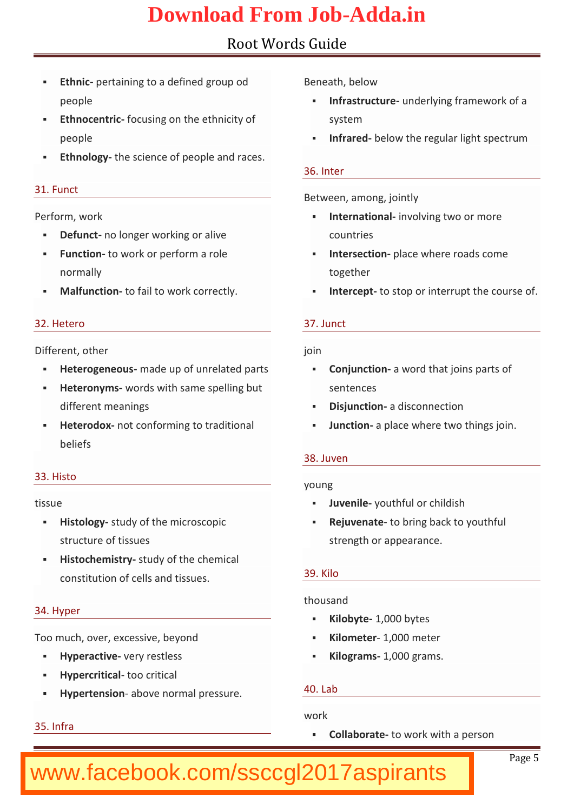| ð§ Ethnpærtaining to a defined g Beneath, below                                 |       |                                       |  |
|---------------------------------------------------------------------------------|-------|---------------------------------------|--|
| people                                                                          |       | ð§ Infrastru cutrud erlying framework |  |
| ð§ Ethnoce-nforciocsing on the ethnic system                                    |       |                                       |  |
| people                                                                          |       | ð§ Infrarbelow the regular light s    |  |
| ð§ Ethnol-olge science of people a                                              |       |                                       |  |
|                                                                                 |       | 36. Inter                             |  |
| 31. Funct                                                                       |       | Between, among, jointly               |  |
| Performor, kw                                                                   |       | ð§ Internationnvællgvitnwo or more    |  |
| ð§ Defunnco longer working or aliv countries                                    |       |                                       |  |
| ð§ Funct-itoon work or perform a rol $\delta$ § Interse eptiane where roads cor |       |                                       |  |
| normally                                                                        |       | together                              |  |
| ð§ Malfunc-tticonfiail to work correctlð§ Interc-eptstop or interrupt the       |       |                                       |  |
|                                                                                 |       |                                       |  |
| 32. Hetero                                                                      |       | 37. Junct                             |  |
| Different, other                                                                | join  |                                       |  |
| ð§ Heterogenmeads up of unrelatecð§ Conjuneaiownord that joins part             |       |                                       |  |
| ð§ Heteron-wmosds with same spelli sentences                                    |       |                                       |  |
| different meanings                                                              |       | ð§ Disjune aiodrisconnection          |  |
| ð§ Hetero-choox conforming to tradió§ Junct-iao mplace where two thing          |       |                                       |  |
| beliefs                                                                         |       |                                       |  |
|                                                                                 |       | $38.$ Juven                           |  |
| 33. Histo                                                                       | young |                                       |  |
| tissue                                                                          |       | ð§ Juvenylæuthful or childish         |  |
| ð§ Histol-osglydy of the microscopicð§ Rejuventaot obring back to youth         |       |                                       |  |
| structure of tissues                                                            |       | strength or appearance.               |  |
| ð§ Histochemsitsutdyy of the chemic                                             |       |                                       |  |
| constitution of cells and tiss <sup>39</sup> . Kilo                             |       |                                       |  |
|                                                                                 |       | thousand                              |  |
| 34. Hyper                                                                       |       | ð§ Kilob√lt,e000 bytes                |  |
| Too much, over, excessive, beyorðs Kilomeie000 meter                            |       |                                       |  |
| ð§ Hypera evtiewney restless ó§ Kilogra1m, Goo gram s.                          |       |                                       |  |
| ð§ Hypercrittocabritical                                                        |       |                                       |  |
| ð§ Hypertenabonve normal pressu 40. Lab                                         |       |                                       |  |
|                                                                                 | work  |                                       |  |
| 35. Infra                                                                       |       | ð§ Collabotatwork with a person       |  |
|                                                                                 |       |                                       |  |
|                                                                                 |       | P a g <sub>Se</sub>                   |  |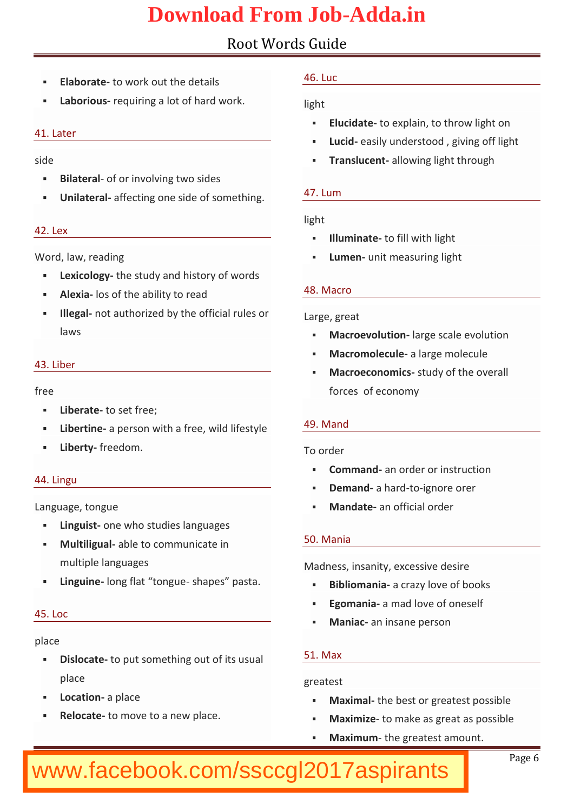|      | ð§ Elabortad ew ork out the details 46. Luc  |       |                                                     |
|------|----------------------------------------------|-------|-----------------------------------------------------|
|      | ð§ Laborioequiring a lot of hard             | light |                                                     |
|      |                                              |       | ð§ Elucidadeexplain, to throw ligh                  |
|      | 41. Later                                    |       | ð§ Luc-iedasily understood, giving                  |
| side |                                              |       | ð§ Translu-aelnotwing light through                 |
|      | ð§ Bilateoálor involving two side            |       |                                                     |
|      | ð§ Unilatearfafle cting one side of s47. Lum |       |                                                     |
|      |                                              | light |                                                     |
|      | 42. Lex                                      |       | ð§ Illumintad efill with light                      |
|      | Word, law, reading                           |       | ð§ Lumeunnit measuring light                        |
|      | ð§ Lexico-Itchgey study and history o        |       |                                                     |
|      | ð§ Alexias ofatbhiety to read                |       | 48. Macro                                           |
|      | ð§ Illegradt authorized by the off           |       | Large, great                                        |
|      | laws                                         |       | ð§ Macroevoluargne scale evolutio                   |
|      |                                              |       | ð§ Macromoleaculaterge molecule                     |
|      | 43. Liber                                    |       | ð§ Macroecon- <b>ssnuids</b> of the overal          |
| free |                                              |       | forces economy                                      |
|      | ð§ Liberatbeset free;                        |       |                                                     |
|      | ð§ Libertian person with a free, w 49. Mand  |       |                                                     |
|      | ð§ Liberftryeedom.                           |       | To order                                            |
|      |                                              |       | ð§ Commaand order or instruction                    |
|      | 44. Lingu                                    |       | ð§ Dema-nadhatronign ore orer                       |
|      | Language, tongue                             |       | ð§ Mandaam official order                           |
|      | ð§ Linguosnte who studies languaç            |       |                                                     |
|      | ð§ Multiligaubalteo communicate in 50. Mania |       |                                                     |
|      | multiple languages                           |       | Madness, insanity, excessive de                     |
|      | ð§ Lingu-ilno∗eng flat -tsomagpuees          |       | pasta <sub>os</sub> Bibliom-aancarazy love of books |
|      | $45.$ $Loc$                                  |       | ð§ Egomaaianad love of oneself                      |
|      |                                              |       | ð§ Mani-aam insane person                           |
|      | place                                        |       |                                                     |
|      | ð§ Disloctadeput som ething out of 51. Max   |       |                                                     |
|      | place                                        |       | greatest                                            |
|      | ð§ Locat-iao mplace                          |       | ð§ Maximtahle best or greatest pos                  |
|      | ð§ Reloc-atoemove to a new place.            |       | ð§ Maxim-itzoemake as great as po                   |
|      |                                              |       | ð§ Maxim-utme greatest amount.                      |
|      |                                              |       |                                                     |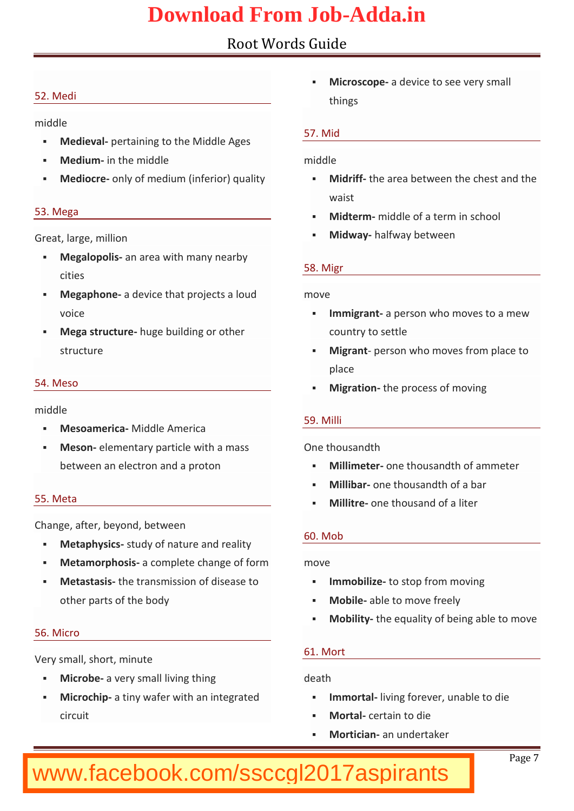|    | 52. Medi                                                                 |    | ð§ Microseapdeevice to see very s<br>things |
|----|--------------------------------------------------------------------------|----|---------------------------------------------|
|    | middle                                                                   |    |                                             |
|    | ð§ Medie-γpælrtaining to the Middl <del>e Ages</del>                     |    | 57. Mid                                     |
|    | ð§ Mediumm the middle                                                    |    | middle                                      |
|    | ð§ Medio-cornely of medium (inferiorð§ Midriffhe area between the che    |    |                                             |
|    |                                                                          |    | waist                                       |
|    | 53. Mega                                                                 |    | ð§ Midte-mmiddle of a term in scho          |
|    | Great, large, million                                                    |    | ð§ Midwahyalfway between                    |
|    | ð§ Megalopænhisarea with many ne                                         |    |                                             |
|    | cities                                                                   |    | 58. Migr                                    |
|    | ð§ Megaph-oandevice that projectsmove                                    |    |                                             |
|    | voice                                                                    |    | ð§ Immigraanperson who moves to             |
|    | ð§ Mega strubtugree building or othi country to settle                   |    |                                             |
|    | structure                                                                |    | ð§ Migraperson who moves from               |
|    |                                                                          |    | place                                       |
|    | 54. Meso                                                                 |    | ð§ Migrat-itohne process of moving          |
|    | middle                                                                   |    |                                             |
|    | ð§ MesoameMiicoladAemerica                                               |    | 59. Milli                                   |
|    | ð§ Mesomlementary particle with One thousandth                           |    |                                             |
|    | between an electron and a proos Millime on thousand th of amme           |    |                                             |
|    |                                                                          |    | ð§ Milliboame thousandth of a bar           |
|    | 55. Meta                                                                 |    | ð§ Millitoene thousand of a liter           |
|    | Change, after, beyond, between                                           |    |                                             |
|    | δς Metaphystasy of nature and rearry                                     |    | $60.$ Mob                                   |
| ð§ | Metamorphaosciosmplete change move                                       |    |                                             |
| ð§ | Metastatsies transmission of dis ð§ Immobi-Itiozestop from moving        |    |                                             |
|    | oth parts of the body                                                    |    | ð§ Mobi-læble to move freely                |
|    |                                                                          |    | ð§ Mobil-itthye equality of being ab        |
|    | 56. Micro                                                                |    |                                             |
|    | Very small, short, minute                                                |    | 61. Mort                                    |
| ð§ | Microbaevery small living thin (death                                    |    |                                             |
|    | ð§ Microchaiptiny wafer with an intoð§ Immortlavling formenandine to die |    |                                             |
|    | circuit                                                                  |    | ð§ Mort-aclertain to die                    |
|    |                                                                          | ð§ | Mortic-iæm undertaker                       |
|    |                                                                          |    | P a g7e                                     |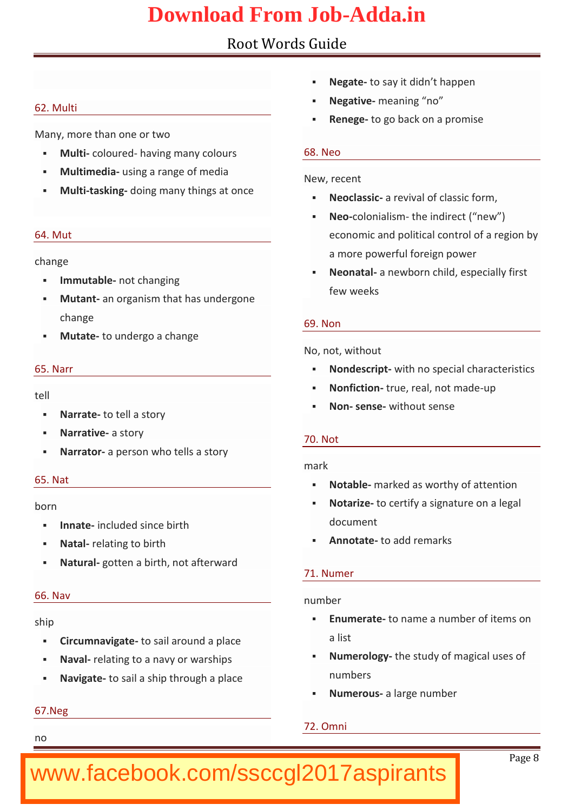| 62. Multi                                             | ð§ Negato say it didn t happen<br>ð§ Negat-imaeaning no              |
|-------------------------------------------------------|----------------------------------------------------------------------|
| Many, more than one or two                            | ð§ Renegoe go back on a promise                                      |
| ð§ Multoiolou-rheadving many colour:68Neo             |                                                                      |
| ð§ Multimedsang a range of medi                       |                                                                      |
| ð§ Multaskidging many things at                       | New, recent                                                          |
|                                                       | ð§ Neoclaasievival of classic for<br>ð§ Necoloniathsemindirect (new) |
| 64. Mut                                               | economic and political contro                                        |
|                                                       | a more powerful foreign powe                                         |
| change                                                | ð§ Neonatahewborn child, especi                                      |
| ð§ Immutaboldet changing                              | few weeks                                                            |
| ð§ Muta-natn organism that has un <sup>d</sup>        |                                                                      |
| change                                                | 69. Non                                                              |
| ð§ Muta-tteo undergo a change                         | No, not, without                                                     |
| 65. Narr                                              | ð§ Nondeispetwith no special chara                                   |
|                                                       | ð§ Nonfictioune, real, nuopt made                                    |
| tell                                                  | ð§ Nonsen sweithout sense                                            |
| ð§ Narrattæ tell a story                              |                                                                      |
| ð§ Narratavestory                                     | 70. Not                                                              |
| ð§ Narra-taorperson who tells a storv                 | mark                                                                 |
| 65. Nat                                               | ð§ Notabmhearked as worthy of atte                                   |
| born                                                  | ð§ Notar-itzoe certify a signature or                                |
| ð§ Innatincluded since birth                          | document                                                             |
| Natarlelating to birth<br>ð§                          | ð§ Annotattœadd remarks                                              |
| ð§ Naturgaottebinth, not afterward                    |                                                                      |
|                                                       | 71. Numer                                                            |
| 66. Nav                                               | number                                                               |
| ship                                                  | ð§ Enumertadename a number of it                                     |
| ð§ Circumna∀tiogastæil around a plac                  | a list                                                               |
| Navablating to a navy or wars $0$ <sup>6§</sup><br>ð§ | Numerolbhgey study of magical                                        |
| ð§ Navig-atbesail a ship through a                    | numbers                                                              |
|                                                       | ð§ Numeroauslarge number                                             |
| 67. Neg                                               |                                                                      |
|                                                       | 72. Omni                                                             |
| n o                                                   |                                                                      |
|                                                       | $P$ a g $\&$                                                         |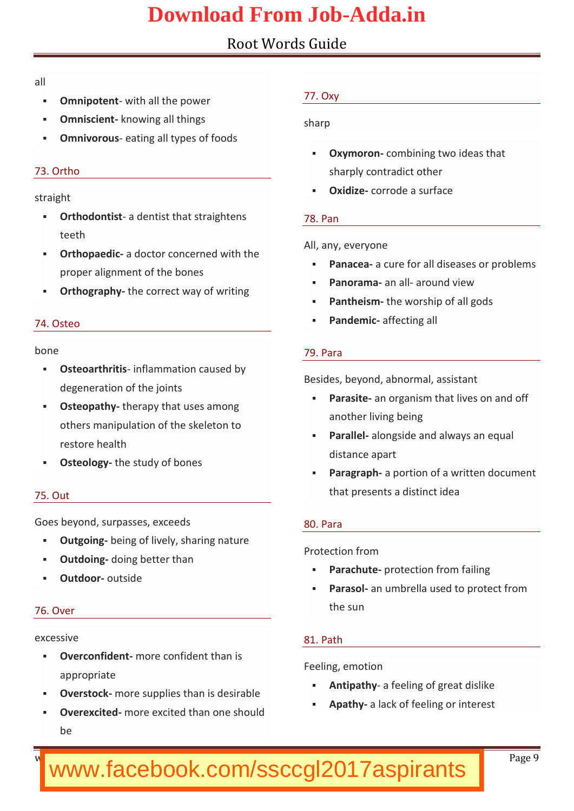| all  |                                                                                 |                                           |  |
|------|---------------------------------------------------------------------------------|-------------------------------------------|--|
| ð§   | Omnipotwith all the power                                                       | 77. Oxy                                   |  |
| ð§   | Omnisc-ikemotwing all things                                                    | sharp                                     |  |
|      | ð§ Omnivoreatsing all types of foods                                            |                                           |  |
|      |                                                                                 | ð§ Oxymorcoonmbining two ideas th         |  |
|      | 73. Ortho                                                                       | sharply contradict other                  |  |
|      | straight                                                                        | ð§ Oxidiøerrode a surface                 |  |
|      | ð§ Orthodonatistentist that straigh 78. Pan                                     |                                           |  |
|      | teeth                                                                           |                                           |  |
|      | ð§ Orthopa- addoctor concerned wi                                               | Alany, everyone                           |  |
|      | proper alignment of the bones                                                   | ð§ Pana $\epsilon$ ææure for all diseases |  |
|      | ð§ Orthogratph hey correct way of wri                                           | ð§ Panoraama adround view                 |  |
|      |                                                                                 | ð§ Pantheitshme worship of all gods       |  |
|      | 74. Osteo                                                                       | ð§ Pande-maifcfecting all                 |  |
| bone |                                                                                 | 79. Para                                  |  |
|      | ð§ Osteoart-hiniftliæm mation caused                                            |                                           |  |
|      | degeneration of the joints                                                      | Besides, beyond, abnormal, assi           |  |
|      | ð§ Osteopattheyrapy that uses amor                                              | ð§ Parasatne organism that lives o        |  |
|      | others manipulation of the ske                                                  | another bieviimgg                         |  |
|      | restore health                                                                  | ð§ Parałae bngside and always an          |  |
|      | ð§ Osteol-olge study of bones                                                   | distance apart                            |  |
|      |                                                                                 | ð§ Paragrapphortion of a written d        |  |
|      | 75. Out                                                                         | that presents a distinct idea             |  |
|      |                                                                                 |                                           |  |
|      | Goes beyond, surpasses, exceed 80. Para                                         |                                           |  |
|      | ð§ Outgo-ibneging of lively, sharing                                            | Protection from                           |  |
|      | ð§ Outdoid moging better than                                                   | ð§ Parachptetection from failing          |  |
| ð§   | Outdooutside                                                                    | ð§ Parasaon umbrella used to prot         |  |
|      | 76. Over                                                                        | the sun                                   |  |
|      |                                                                                 |                                           |  |
|      | excessive                                                                       | 81. Path                                  |  |
|      | ð§ Overconf-indene confident than                                               | Feeling, emotion                          |  |
|      | appropriate                                                                     | ð§ Antipa-tah∮eeling of great dislil      |  |
|      | ð§ Overstonodkre supplies than is d                                             |                                           |  |
|      | ð§ Overexemtede excited than one <sup>ð§</sup> Apat-haylack of feeling or inter |                                           |  |
|      | b e                                                                             |                                           |  |
|      |                                                                                 |                                           |  |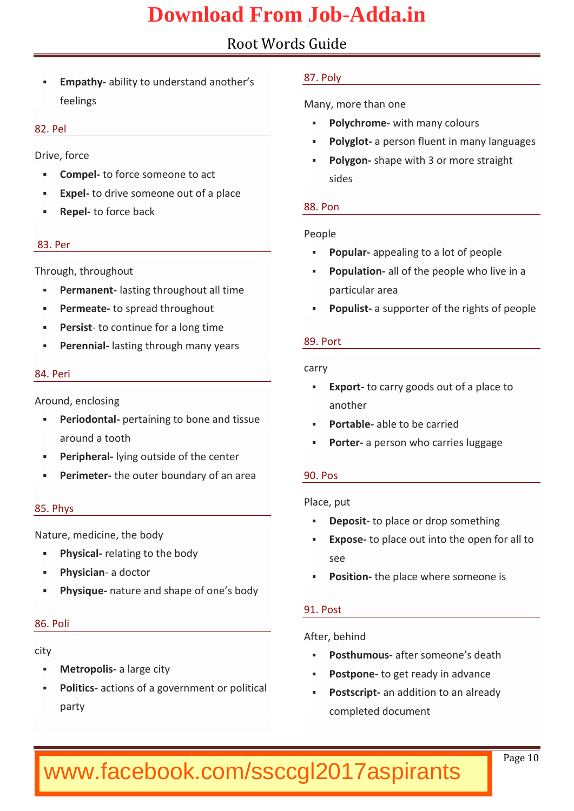| ð§ Empathbyility to understand ar 87. Poly                                     |       |                                                                    |
|--------------------------------------------------------------------------------|-------|--------------------------------------------------------------------|
| feelings                                                                       |       | Many, more than one                                                |
| 82. Pel                                                                        |       | ð§ Polychr-ownitch many colours                                    |
|                                                                                |       | ð§ Polygboperson fluent in many                                    |
| Drive, force                                                                   |       | ð§ Polygohape with 3 or more str                                   |
| ð§ Compted force someone to act                                                |       | sides                                                              |
| ð§ Exp- $eb$ drive someone out of a                                            |       |                                                                    |
| ð§ Rep-eb force back                                                           |       | 88. Pon                                                            |
| 83. Per                                                                        |       | People                                                             |
|                                                                                |       | ð§ Popu-laaprpealing topeaolpolte of                               |
| Through, throughout                                                            |       | ð§ Popula-tablnof the people who I                                 |
| ð§ Permanbanstting throughout all t particular area                            |       |                                                                    |
|                                                                                |       | ð§ Perme-atbespread throughout ð§ Popul as bupporter of the rights |
| ð§ Pers-itsot continue for a long tir                                          |       |                                                                    |
| ð§ Perennlæsslting through many y 89. Port                                     |       |                                                                    |
| 84. Peri                                                                       | carry |                                                                    |
|                                                                                |       | ð§ Expeto carry goods out of a p                                   |
| Around, enclosing                                                              |       | another                                                            |
| ð§ Periodoptataining to bone and <sub>ð§</sub> Porta-balbele to be carried     |       |                                                                    |
| arountoath                                                                     |       | ð§ Port-ærperson who carries lug                                   |
| ð§ Periph-dyanng outside of the ce                                             |       |                                                                    |
| ð§ Perimettee outer boundary of 80. Pos                                        |       |                                                                    |
| 85. Phys                                                                       |       | Place, put                                                         |
|                                                                                |       | ð§ Depo-stot place or drop somethi                                 |
| Nature, medicine, the body                                                     |       | ð§ Expose place out into the ope                                   |
| ð§ Physicallating to the body                                                  |       | see                                                                |
| ð§ Physieaadoctor                                                              |       | ð§ Posititchne place where someon                                  |
| ð§ Physiqnuæture and shape of on                                               |       |                                                                    |
|                                                                                |       | 91. Post                                                           |
| 86. Poli                                                                       |       | After, behind                                                      |
| city                                                                           |       | ð§ Posthumantuser someone s death                                  |
| ð§ Metrop-calibarge city                                                       |       | ð§ Postpotnoeget ready in advance                                  |
| ð§ Polit-iacostions of a government ( $\delta$ § Postseaimptadditionalte aadhy |       |                                                                    |
| party                                                                          |       | completed document                                                 |
|                                                                                |       |                                                                    |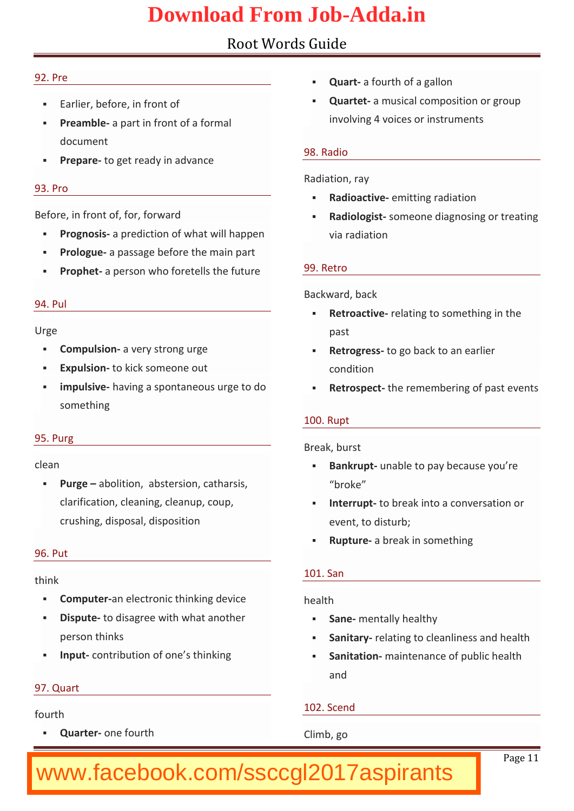| 92. Pre                                                              | ð§ Qua-rat fourth of a gallon        |  |
|----------------------------------------------------------------------|--------------------------------------|--|
| ð§ Earlier, before, in front of                                      | ð§ Quartatmusical composition o      |  |
| ð§ Pream-balopart in front of a form                                 | involving 4 voices or instrume       |  |
| document                                                             |                                      |  |
| ð§ Prepatræget ready in advance                                      | 98. Radio                            |  |
|                                                                      | Radiation, ray                       |  |
| 93. Pro                                                              | ð§ Radioacet mvietting radiation     |  |
| Before, in front of, for, forward                                    | ð§ Radiolosgo snteone diagnosing o   |  |
| ð§ Prognoasipsrediction of what wil                                  | via radiation                        |  |
| δ§ Prologauopas sbaegfore the main p                                 |                                      |  |
| ð§ Prophætperson who foretells the Retro                             |                                      |  |
|                                                                      | Backward, back                       |  |
| 94. Pul                                                              | ð§ Retroacteveting to something      |  |
| $U$ r g e                                                            | past                                 |  |
| ð§ Compul-saiovnery strong urge                                      | ð§ Retrog-nteos go back to an earlie |  |
| ð§ Expulstionkick someone out                                        | condition                            |  |
| ð§ impulshvaeving a spontaneous                                      | ulos Retrosptemet remembering of pa  |  |
| something                                                            |                                      |  |
|                                                                      | 100. Rupt                            |  |
| 95. Purg                                                             | Break, burst                         |  |
| clean                                                                | ð§ Bankruupntable to pay because     |  |
| ð§ Purgabolitiadonstersion, cathars                                  | broke                                |  |
| clarification, cleaning, cleanu ð§ Interr-uptbreak into a convers    |                                      |  |
| crushing, disposal, dispositior eventditsoturb;                      |                                      |  |
|                                                                      | ð§ Ruptuaebreak in something         |  |
| 96. Put                                                              |                                      |  |
| think                                                                | 101. San                             |  |
| ð§ Compuaearelectronic thinking (health                              |                                      |  |
| ð§ Disputtoe disagree with what an tos Sanmentally healthy           |                                      |  |
| person thinks                                                        | ð§ Sanit-areylating to cleanliness a |  |
| ð§ Inpudontribution of one s thinkð§ Sanita-tmoanintenance of public |                                      |  |
|                                                                      | and                                  |  |
| 97. Quart                                                            |                                      |  |
| fourth                                                               | 102. Scend                           |  |
| ð§ Quartene fourth                                                   | Climb, go                            |  |
|                                                                      |                                      |  |
| www.facebook.com/ssccgl2017aspirants                                 | P a g1e1                             |  |
|                                                                      |                                      |  |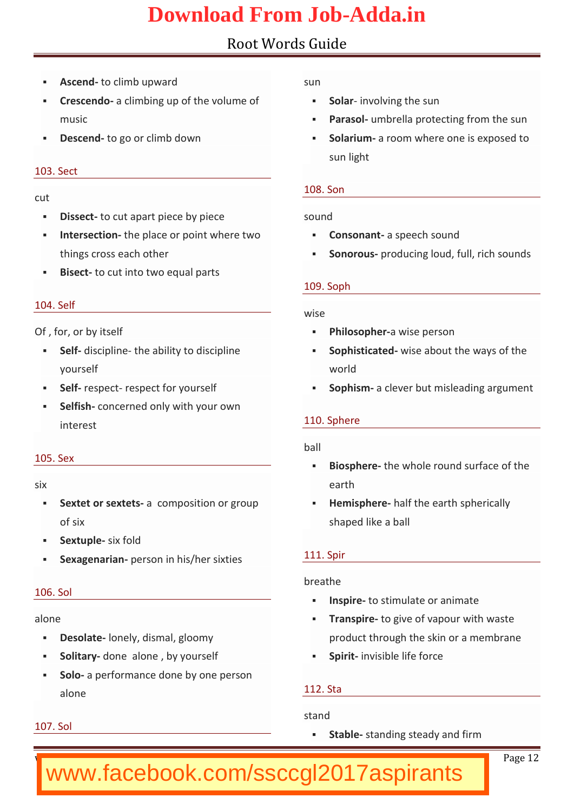|     | ð§ Asce-nid climb upward<br>ð§ Cresceadoolimbing up of the volð§ Solanvolving the sun | sun     |                                                                                                                |
|-----|---------------------------------------------------------------------------------------|---------|----------------------------------------------------------------------------------------------------------------|
|     | music                                                                                 |         | ð§ Parasuonhbrella protecting from                                                                             |
|     | ð§ Descetnodgo or climb down                                                          |         | ð§ Solariamoom where one is ex<br>sun light                                                                    |
|     | 103. Sect                                                                             |         |                                                                                                                |
| cut |                                                                                       |         | 108. Son                                                                                                       |
|     | ð§ Dissetot cut apart piece by piesound                                               |         |                                                                                                                |
|     | ð§ Interse etthien place or point whe ð§ Consonaanst peech sound                      |         |                                                                                                                |
|     |                                                                                       |         | things cross each other only of Sonoropursoducing loud, full, ridentially the contract of the control of the c |
|     | ð§ Bisetd cut into two equal part                                                     |         |                                                                                                                |
|     |                                                                                       |         | 109. Soph                                                                                                      |
|     | 104. Self                                                                             | wise    |                                                                                                                |
|     | Of, for, or by itself                                                                 |         | ð§ Philoso-ahweise person                                                                                      |
|     | ð§ Se-Idliscip-ltilme abtibitdyiscipline                                              |         | ð§ Sophisti waitseed about the ways                                                                            |
|     | yourself                                                                              |         | world                                                                                                          |
|     | ð§ Se-Infespercetspect for yourself                                                   |         | ð§ Sophiamclever but misleading                                                                                |
|     | ð§ Selfisancerned only with your                                                      |         |                                                                                                                |
|     | interest                                                                              |         | 110. Sphere                                                                                                    |
|     | $105.$ Sex                                                                            | $b$ all |                                                                                                                |
| six |                                                                                       |         | ð§ Biosphehre whole rounodf statefac                                                                           |
|     |                                                                                       |         | earth<br>ð§ Sextet or sæxotentpsosition or groð§ Hemisphhearef the earth spheric                               |
|     | of six                                                                                |         | shaped like a ball                                                                                             |
|     | ð§ Sextu-psliex fold                                                                  |         |                                                                                                                |
|     | ð§ Sexagen-apmeinasnon in his/her six 111. Spir                                       |         |                                                                                                                |
|     |                                                                                       |         | breathe                                                                                                        |
|     | 106. Sol                                                                              |         | ð§ Inspite stimulate or animate                                                                                |
|     | alone                                                                                 |         | ð§ Transptioregive of vapour with v                                                                            |
|     | ð§ Desol-albenely, dismal, gloomy                                                     |         | product through the skin or a                                                                                  |
|     | ð§ Solitadroynalone, by yourself                                                      |         | ð§ Spiriintvisible life force                                                                                  |
|     | ð§ Sola performance done by on                                                        |         |                                                                                                                |
|     | alone                                                                                 |         | 112. Sta                                                                                                       |
|     |                                                                                       |         | stand                                                                                                          |
|     | 107. Sol                                                                              |         | ð§ Stabsdanding steady and firm                                                                                |
|     |                                                                                       |         | P a g1e2                                                                                                       |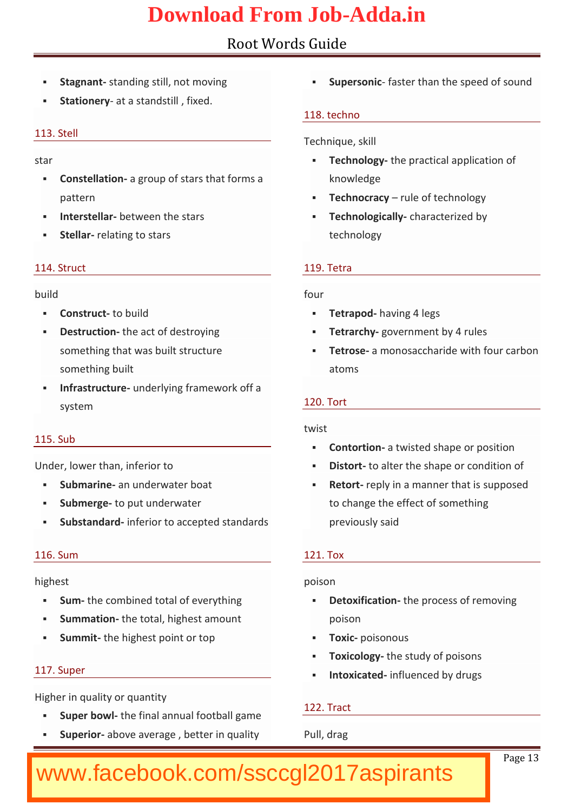|      | ð§ Stagn-asnanding still, not movinð§ Supers-óasder than the speed   |       |                                                                     |
|------|----------------------------------------------------------------------|-------|---------------------------------------------------------------------|
|      | ð§ Stationætrya standstill , fixed.                                  |       | 118. techno                                                         |
|      | 113. Stell                                                           |       |                                                                     |
|      |                                                                      |       | Technique, skill                                                    |
| star |                                                                      |       | ð§ Techno-Itchgey practical applicati                               |
|      | ð§ Constell-aatigornoup of stars that                                |       | knowledge                                                           |
|      | pattern<br>ð§ Interstebleaween the stars                             |       | ð§ Technocrraud ye of technology<br>ð§ Technologocharlaycterized by |
|      | ð§ Stellmarlating to stars                                           |       | technology                                                          |
|      |                                                                      |       |                                                                     |
|      | 114. Struct                                                          |       | $119$ .etra                                                         |
|      | build                                                                | four  |                                                                     |
|      | ð§ Constrtucctbuild                                                  |       | ð§ Tetra phoadving 4 legs                                           |
|      | ð§ Destru ethæn act of destroying ð§ Tetrar-ghow ern ment by 4 rules |       |                                                                     |
|      |                                                                      |       | something that was built strucos Tetroaemonosaccharide with f       |
|      | something built                                                      |       | atoms                                                               |
|      | ð§ Infrastru-cutrudreerlying framewor                                |       |                                                                     |
|      | system                                                               |       | 120. Tort                                                           |
|      |                                                                      | twist |                                                                     |
|      | 115. Sub                                                             |       | ð§ Contortaothwisted shape or pos                                   |
|      | Under, lower than, inferior to                                       |       | ð§ Distetra alter the shape or con                                  |
|      | ð§ Submarameunderwater boat                                          |       | ð§ Retoreply in a manseepptohsaeldis                                |
|      | δ§ Submetopeput underwater to change the effect of somet             |       |                                                                     |
|      | ð§ Substandianfotrior to accepted st previously said                 |       |                                                                     |
|      | 116. Sum                                                             |       | 121. Tox                                                            |
|      | highest                                                              |       | poison                                                              |
|      | ð§ Sumthe combined total of everyð§ Detoxificahlieoprocess of remov  |       |                                                                     |
|      | ð§ Summatíbe total, highest amol                                     |       | poison                                                              |
|      | ð§ Summtinte highest point or top ð§ Tox-ipcoisonous                 |       |                                                                     |
|      |                                                                      |       | ð§ Toxico-Itchgey study of poisons                                  |
|      | 117. Super                                                           |       | ð§ Intoxicande duenced by drugs                                     |
|      | Higher in quality or quantity                                        |       |                                                                     |
|      | ð§ Super btdwelfinal annual footbair yanie                           |       | 122. Tract                                                          |
|      | ð§ Superadorove average, better Pull, drag                           |       |                                                                     |

www.bankeramstoday.com Page13 and Page13 and Page13 and Page143 and Page143 and Page143 and Page143 www.facebook.com/ssccgl2017aspirants